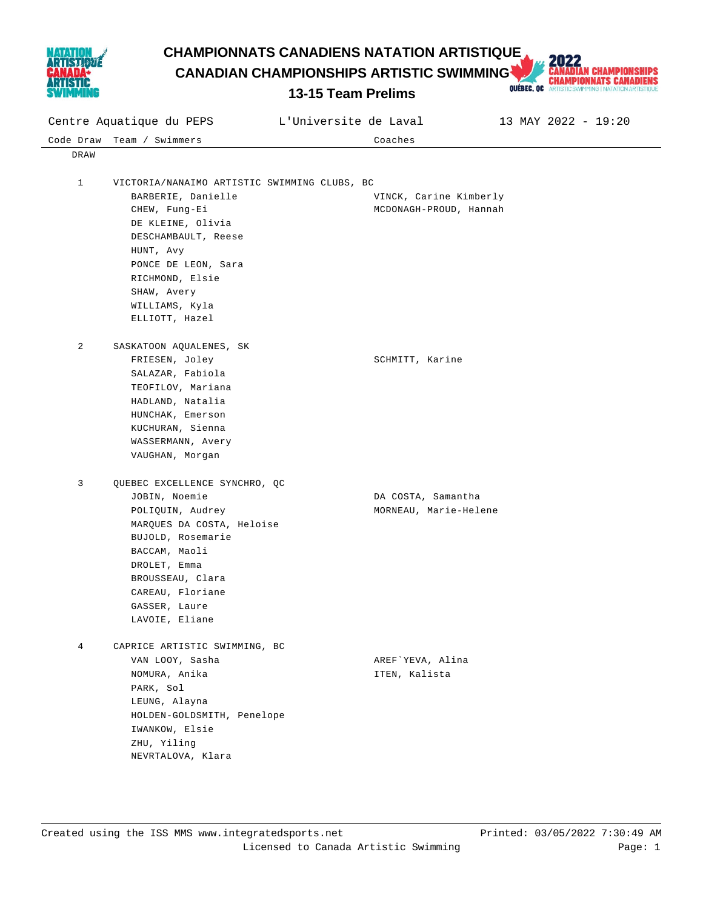

**CHAMPIONNATS CANADIENS NATATION ARTISTIQUE<br>
CANADIAN CHAMPIONSHIPS ARTISTIC SWIMMING AND CHAMPIONNATS CANADIENS<br>
13-15 Team Prelims<br>
Prelims
CONDUCTRY ARTISTICS WITHING INATIONARISTODER PRELIMING INATATION ARTISTICS WERE CANADIAN CHAMPIONSHIPS ARTISTIC SWIMMING** 



| Centre Aquatique du PEPS |                                              | L'Universite de Laval                       | 13 MAY 2022 - 19:20 |
|--------------------------|----------------------------------------------|---------------------------------------------|---------------------|
| Code Draw                | Team / Swimmers                              | Coaches                                     |                     |
| DRAW                     |                                              |                                             |                     |
|                          |                                              |                                             |                     |
| 1                        | VICTORIA/NANAIMO ARTISTIC SWIMMING CLUBS, BC |                                             |                     |
|                          | BARBERIE, Danielle                           | VINCK, Carine Kimberly                      |                     |
|                          | CHEW, Fung-Ei                                | MCDONAGH-PROUD, Hannah                      |                     |
|                          | DE KLEINE, Olivia                            |                                             |                     |
|                          | DESCHAMBAULT, Reese                          |                                             |                     |
|                          | HUNT, Avy                                    |                                             |                     |
|                          | PONCE DE LEON, Sara                          |                                             |                     |
|                          | RICHMOND, Elsie<br>SHAW, Avery               |                                             |                     |
|                          | WILLIAMS, Kyla                               |                                             |                     |
|                          | ELLIOTT, Hazel                               |                                             |                     |
|                          |                                              |                                             |                     |
| 2                        | SASKATOON AQUALENES, SK                      |                                             |                     |
|                          | FRIESEN, Joley                               | SCHMITT, Karine                             |                     |
|                          | SALAZAR, Fabiola                             |                                             |                     |
|                          | TEOFILOV, Mariana                            |                                             |                     |
|                          | HADLAND, Natalia                             |                                             |                     |
|                          | HUNCHAK, Emerson                             |                                             |                     |
|                          | KUCHURAN, Sienna                             |                                             |                     |
|                          | WASSERMANN, Avery                            |                                             |                     |
|                          | VAUGHAN, Morgan                              |                                             |                     |
|                          |                                              |                                             |                     |
| 3                        | QUEBEC EXCELLENCE SYNCHRO, QC                |                                             |                     |
|                          | JOBIN, Noemie<br>POLIQUIN, Audrey            | DA COSTA, Samantha<br>MORNEAU, Marie-Helene |                     |
|                          | MARQUES DA COSTA, Heloise                    |                                             |                     |
|                          | BUJOLD, Rosemarie                            |                                             |                     |
|                          | BACCAM, Maoli                                |                                             |                     |
|                          | DROLET, Emma                                 |                                             |                     |
|                          | BROUSSEAU, Clara                             |                                             |                     |
|                          | CAREAU, Floriane                             |                                             |                     |
|                          | GASSER, Laure                                |                                             |                     |
|                          | LAVOIE, Eliane                               |                                             |                     |
|                          |                                              |                                             |                     |
| $\overline{4}$           | CAPRICE ARTISTIC SWIMMING, BC                |                                             |                     |
|                          | VAN LOOY, Sasha                              | AREF`YEVA, Alina                            |                     |
|                          | NOMURA, Anika                                | ITEN, Kalista                               |                     |
|                          | PARK, Sol                                    |                                             |                     |
|                          | LEUNG, Alayna                                |                                             |                     |
|                          | HOLDEN-GOLDSMITH, Penelope                   |                                             |                     |
|                          | IWANKOW, Elsie                               |                                             |                     |
|                          | ZHU, Yiling                                  |                                             |                     |
|                          | NEVRTALOVA, Klara                            |                                             |                     |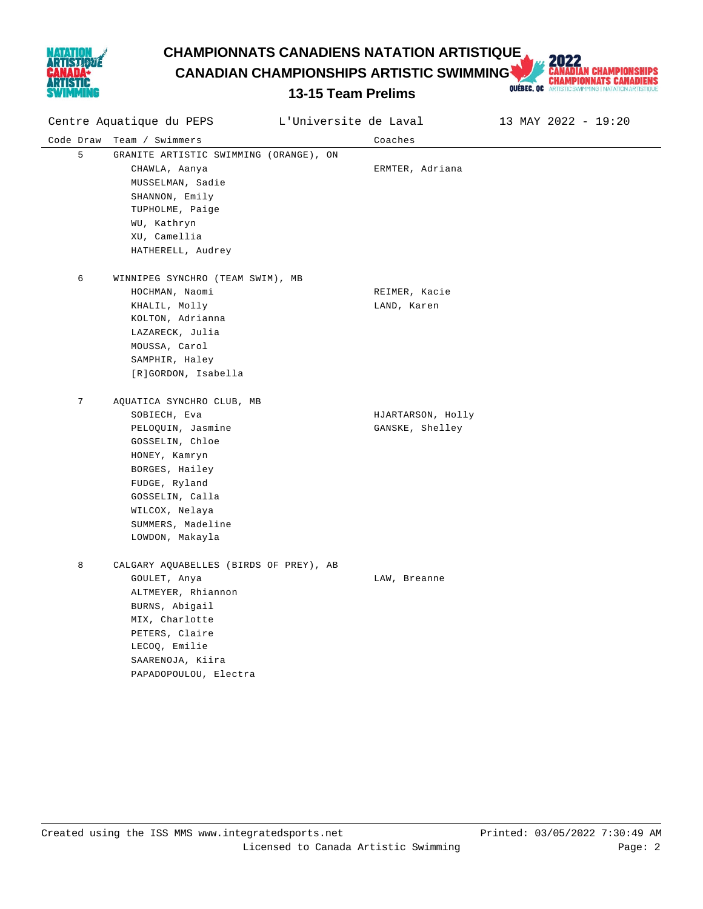

**CHAMPIONNATS CANADIENS NATATION ARTISTIQUE<br>
CANADIAN CHAMPIONSHIPS ARTISTIC SWIMMING AND CHAMPIONNATS CANADIENS<br>
13-15 Team Prelims<br>
Prelims
CONDUCTRY ARTISTICS WITHING INATIONARISTODER PRELIMING INATATION ARTISTICS WERE** 

**CANADIAN CHAMPIONSHIPS ARTISTIC SWIMMING** 

| Centre Aquatique du PEPS |                                        | L'Universite de Laval | 13 MAY 2022 - 19:20 |
|--------------------------|----------------------------------------|-----------------------|---------------------|
| Code Draw                | Team / Swimmers                        | Coaches               |                     |
| 5                        | GRANITE ARTISTIC SWIMMING (ORANGE), ON |                       |                     |
|                          | CHAWLA, Aanya                          | ERMTER, Adriana       |                     |
|                          | MUSSELMAN, Sadie                       |                       |                     |
|                          | SHANNON, Emily                         |                       |                     |
|                          | TUPHOLME, Paige                        |                       |                     |
|                          | WU, Kathryn                            |                       |                     |
|                          | XU, Camellia                           |                       |                     |
|                          | HATHERELL, Audrey                      |                       |                     |
| 6                        | WINNIPEG SYNCHRO (TEAM SWIM), MB       |                       |                     |
|                          | HOCHMAN, Naomi                         | REIMER, Kacie         |                     |
|                          | KHALIL, Molly                          | LAND, Karen           |                     |
|                          | KOLTON, Adrianna                       |                       |                     |
|                          | LAZARECK, Julia                        |                       |                     |
|                          | MOUSSA, Carol                          |                       |                     |
|                          | SAMPHIR, Haley                         |                       |                     |
|                          | [R]GORDON, Isabella                    |                       |                     |
| 7                        | AQUATICA SYNCHRO CLUB, MB              |                       |                     |
|                          | SOBIECH, Eva                           | HJARTARSON, Holly     |                     |
|                          | PELOQUIN, Jasmine                      | GANSKE, Shelley       |                     |
|                          | GOSSELIN, Chloe                        |                       |                     |
|                          | HONEY, Kamryn                          |                       |                     |
|                          | BORGES, Hailey                         |                       |                     |
|                          | FUDGE, Ryland                          |                       |                     |
|                          | GOSSELIN, Calla                        |                       |                     |
|                          | WILCOX, Nelaya                         |                       |                     |
|                          | SUMMERS, Madeline                      |                       |                     |
|                          | LOWDON, Makayla                        |                       |                     |
| 8                        | CALGARY AQUABELLES (BIRDS OF PREY), AB |                       |                     |
|                          | GOULET, Anya                           | LAW, Breanne          |                     |
|                          | ALTMEYER, Rhiannon                     |                       |                     |
|                          | BURNS, Abigail                         |                       |                     |
|                          | MIX, Charlotte                         |                       |                     |
|                          | PETERS, Claire                         |                       |                     |
|                          | LECOQ, Emilie                          |                       |                     |
|                          | SAARENOJA, Kiira                       |                       |                     |
|                          | PAPADOPOULOU, Electra                  |                       |                     |
|                          |                                        |                       |                     |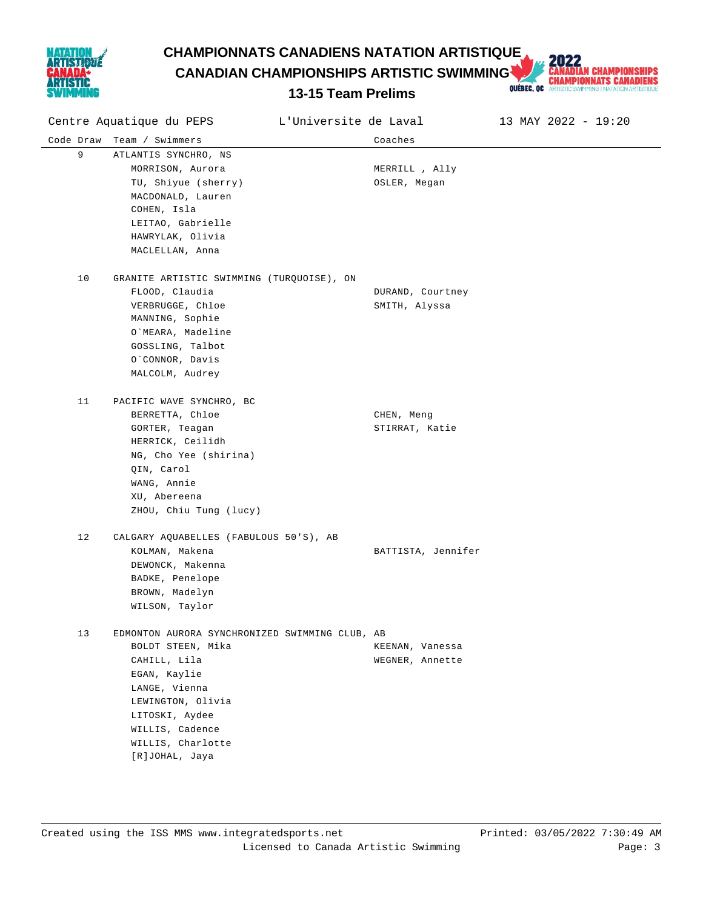

**CHAMPIONNATS CANADIENS NATATION ARTISTIQUE<br>
CANADIAN CHAMPIONSHIPS ARTISTIC SWIMMING AND CHAMPIONNATS CANADIENS<br>
13-15 Team Prelims<br>
Prelims
CONDUCTRY ARTISTICS WITHING INATIONARISTODER PRELIMING INATATION ARTISTICS WERE** 

**CANADIAN CHAMPIONSHIPS ARTISTIC SWIMMING** 

|           | Centre Aquatique du PEPS                                                                                                                                                                                              | L'Universite de Laval              | 13 MAY 2022 - 19:20 |
|-----------|-----------------------------------------------------------------------------------------------------------------------------------------------------------------------------------------------------------------------|------------------------------------|---------------------|
| Code Draw | Team / Swimmers                                                                                                                                                                                                       | Coaches                            |                     |
| 9         | ATLANTIS SYNCHRO, NS<br>MORRISON, Aurora<br>TU, Shiyue (sherry)<br>MACDONALD, Lauren<br>COHEN, Isla<br>LEITAO, Gabrielle<br>HAWRYLAK, Olivia<br>MACLELLAN, Anna                                                       | MERRILL , Ally<br>OSLER, Megan     |                     |
| 10        | GRANITE ARTISTIC SWIMMING (TURQUOISE), ON<br>FLOOD, Claudia<br>VERBRUGGE, Chloe<br>MANNING, Sophie<br>O`MEARA, Madeline<br>GOSSLING, Talbot<br>O`CONNOR, Davis<br>MALCOLM, Audrey                                     | DURAND, Courtney<br>SMITH, Alyssa  |                     |
| 11        | PACIFIC WAVE SYNCHRO, BC<br>BERRETTA, Chloe<br>GORTER, Teagan<br>HERRICK, Ceilidh<br>NG, Cho Yee (shirina)<br>QIN, Carol<br>WANG, Annie<br>XU, Abereena<br>ZHOU, Chiu Tung (lucy)                                     | CHEN, Meng<br>STIRRAT, Katie       |                     |
| 12        | CALGARY AQUABELLES (FABULOUS 50'S), AB<br>KOLMAN, Makena<br>DEWONCK, Makenna<br>BADKE, Penelope<br>BROWN, Madelyn<br>WILSON, Taylor                                                                                   | BATTISTA, Jennifer                 |                     |
| 13        | EDMONTON AURORA SYNCHRONIZED SWIMMING CLUB, AB<br>BOLDT STEEN, Mika<br>CAHILL, Lila<br>EGAN, Kaylie<br>LANGE, Vienna<br>LEWINGTON, Olivia<br>LITOSKI, Aydee<br>WILLIS, Cadence<br>WILLIS, Charlotte<br>[R]JOHAL, Jaya | KEENAN, Vanessa<br>WEGNER, Annette |                     |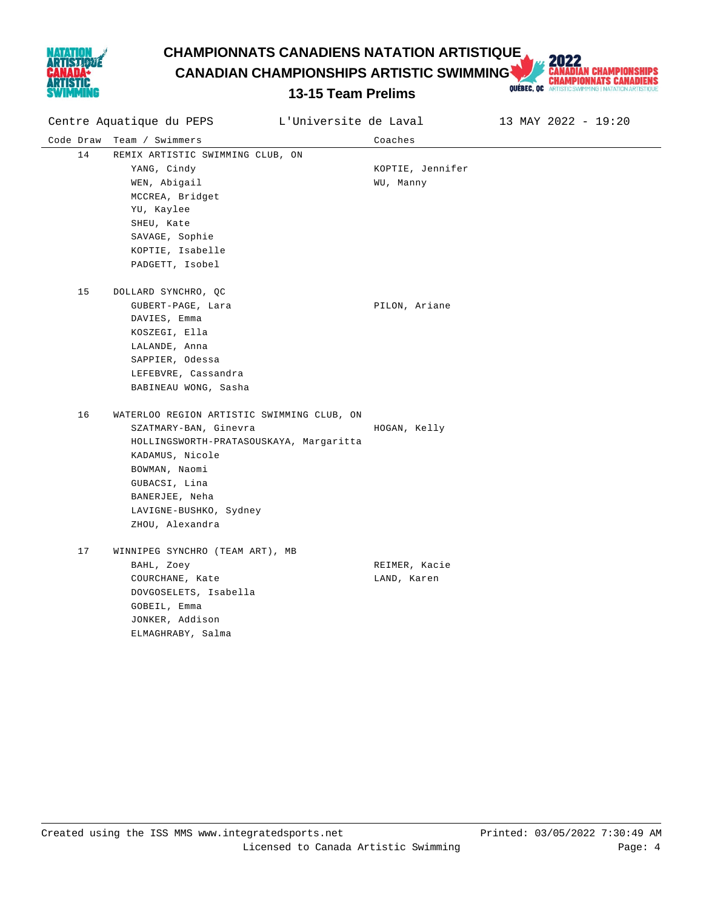

**CHAMPIONNATS CANADIENS NATATION ARTISTIQUE<br>
CANADIAN CHAMPIONSHIPS ARTISTIC SWIMMING AND CHAMPIONNATS CANADIENS<br>
13-15 Team Prelims<br>
Prelims
CONDUCTRY ARTISTICS WITHING INATIONARISTODER PRELIMING INATATION ARTISTICS WERE CANADIAN CHAMPIONSHIPS ARTISTIC SWIMMING** 

| L'Universite de Laval<br>Centre Aquatique du PEPS |                                            |                  | 13 MAY 2022 - 19:20 |
|---------------------------------------------------|--------------------------------------------|------------------|---------------------|
|                                                   | Code Draw Team / Swimmers                  | Coaches          |                     |
| 14                                                | REMIX ARTISTIC SWIMMING CLUB, ON           |                  |                     |
|                                                   | YANG, Cindy                                | KOPTIE, Jennifer |                     |
|                                                   | WEN, Abigail                               | WU, Manny        |                     |
|                                                   | MCCREA, Bridget                            |                  |                     |
|                                                   | YU, Kaylee                                 |                  |                     |
|                                                   | SHEU, Kate                                 |                  |                     |
|                                                   | SAVAGE, Sophie                             |                  |                     |
|                                                   | KOPTIE, Isabelle                           |                  |                     |
|                                                   | PADGETT, Isobel                            |                  |                     |
| 15                                                | DOLLARD SYNCHRO, QC                        |                  |                     |
|                                                   | GUBERT-PAGE, Lara                          | PILON, Ariane    |                     |
|                                                   | DAVIES, Emma                               |                  |                     |
|                                                   | KOSZEGI, Ella                              |                  |                     |
|                                                   | LALANDE, Anna                              |                  |                     |
|                                                   | SAPPIER, Odessa                            |                  |                     |
|                                                   | LEFEBVRE, Cassandra                        |                  |                     |
|                                                   | BABINEAU WONG, Sasha                       |                  |                     |
| 16                                                | WATERLOO REGION ARTISTIC SWIMMING CLUB, ON |                  |                     |
|                                                   | SZATMARY-BAN, Ginevra                      | HOGAN, Kelly     |                     |
|                                                   | HOLLINGSWORTH-PRATASOUSKAYA, Margaritta    |                  |                     |
|                                                   | KADAMUS, Nicole                            |                  |                     |
|                                                   | BOWMAN, Naomi                              |                  |                     |
|                                                   | GUBACSI, Lina                              |                  |                     |
|                                                   | BANERJEE, Neha                             |                  |                     |
|                                                   | LAVIGNE-BUSHKO, Sydney                     |                  |                     |
|                                                   | ZHOU, Alexandra                            |                  |                     |
| 17                                                | WINNIPEG SYNCHRO (TEAM ART), MB            |                  |                     |
|                                                   | BAHL, Zoey                                 | REIMER, Kacie    |                     |
|                                                   | COURCHANE, Kate                            | LAND, Karen      |                     |
|                                                   | DOVGOSELETS, Isabella                      |                  |                     |
|                                                   | GOBEIL, Emma                               |                  |                     |
|                                                   | JONKER, Addison                            |                  |                     |
|                                                   | ELMAGHRABY, Salma                          |                  |                     |
|                                                   |                                            |                  |                     |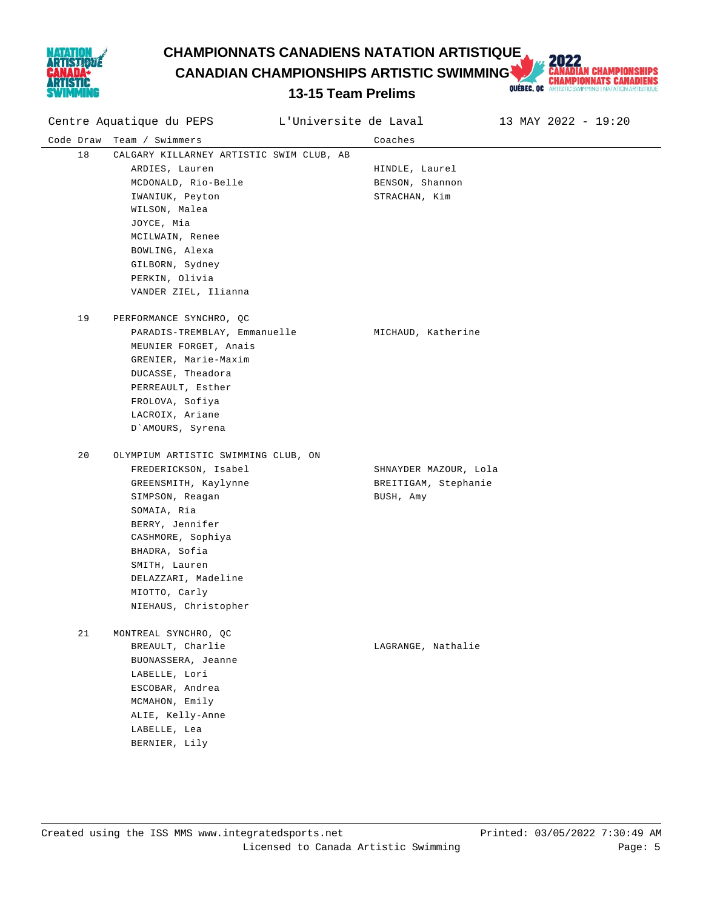

**CHAMPIONNATS CANADIENS NATATION ARTISTIQUE<br>
CANADIAN CHAMPIONSHIPS ARTISTIC SWIMMING AND CHAMPIONNATS CANADIENS<br>
13-15 Team Prelims<br>
Prelims
CONDUCTRY ARTISTICS WITHING INATIONARISTODER PRELIMING INATATION ARTISTICS WERE CANADIAN CHAMPIONSHIPS ARTISTIC SWIMMING** 

| Centre Aquatique du PEPS |                                          | L'Universite de Laval |                       | 13 MAY 2022 - 19:20 |
|--------------------------|------------------------------------------|-----------------------|-----------------------|---------------------|
| Code Draw                | Team / Swimmers                          |                       | Coaches               |                     |
| 18                       | CALGARY KILLARNEY ARTISTIC SWIM CLUB, AB |                       |                       |                     |
|                          | ARDIES, Lauren                           |                       | HINDLE, Laurel        |                     |
|                          | MCDONALD, Rio-Belle                      |                       | BENSON, Shannon       |                     |
|                          | IWANIUK, Peyton                          |                       | STRACHAN, Kim         |                     |
|                          | WILSON, Malea                            |                       |                       |                     |
|                          | JOYCE, Mia                               |                       |                       |                     |
|                          | MCILWAIN, Renee                          |                       |                       |                     |
|                          | BOWLING, Alexa                           |                       |                       |                     |
|                          | GILBORN, Sydney                          |                       |                       |                     |
|                          | PERKIN, Olivia                           |                       |                       |                     |
|                          | VANDER ZIEL, Ilianna                     |                       |                       |                     |
| 19                       | PERFORMANCE SYNCHRO, QC                  |                       |                       |                     |
|                          | PARADIS-TREMBLAY, Emmanuelle             |                       | MICHAUD, Katherine    |                     |
|                          | MEUNIER FORGET, Anais                    |                       |                       |                     |
|                          | GRENIER, Marie-Maxim                     |                       |                       |                     |
|                          | DUCASSE, Theadora                        |                       |                       |                     |
|                          | PERREAULT, Esther                        |                       |                       |                     |
|                          | FROLOVA, Sofiya                          |                       |                       |                     |
|                          | LACROIX, Ariane                          |                       |                       |                     |
|                          | D'AMOURS, Syrena                         |                       |                       |                     |
| 20                       | OLYMPIUM ARTISTIC SWIMMING CLUB, ON      |                       |                       |                     |
|                          | FREDERICKSON, Isabel                     |                       | SHNAYDER MAZOUR, Lola |                     |
|                          | GREENSMITH, Kaylynne                     |                       | BREITIGAM, Stephanie  |                     |
|                          | SIMPSON, Reagan                          |                       | BUSH, Amy             |                     |
|                          | SOMAIA, Ria                              |                       |                       |                     |
|                          | BERRY, Jennifer                          |                       |                       |                     |
|                          | CASHMORE, Sophiya                        |                       |                       |                     |
|                          | BHADRA, Sofia                            |                       |                       |                     |
|                          | SMITH, Lauren                            |                       |                       |                     |
|                          | DELAZZARI, Madeline                      |                       |                       |                     |
|                          | MIOTTO, Carly                            |                       |                       |                     |
|                          | NIEHAUS, Christopher                     |                       |                       |                     |
| 21                       | MONTREAL SYNCHRO, QC                     |                       |                       |                     |
|                          | BREAULT, Charlie                         |                       | LAGRANGE, Nathalie    |                     |
|                          | BUONASSERA, Jeanne                       |                       |                       |                     |
|                          | LABELLE, Lori                            |                       |                       |                     |
|                          | ESCOBAR, Andrea                          |                       |                       |                     |
|                          | MCMAHON, Emily                           |                       |                       |                     |
|                          | ALIE, Kelly-Anne                         |                       |                       |                     |
|                          | LABELLE, Lea                             |                       |                       |                     |
|                          | BERNIER, Lily                            |                       |                       |                     |
|                          |                                          |                       |                       |                     |